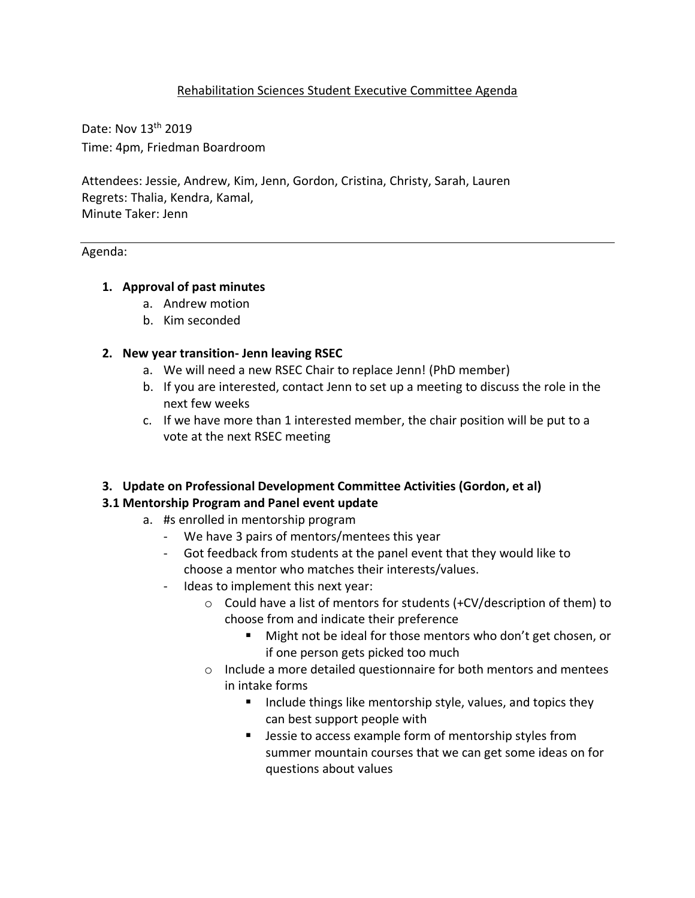# Rehabilitation Sciences Student Executive Committee Agenda

Date: Nov 13th 2019 Time: 4pm, Friedman Boardroom

Attendees: Jessie, Andrew, Kim, Jenn, Gordon, Cristina, Christy, Sarah, Lauren Regrets: Thalia, Kendra, Kamal, Minute Taker: Jenn

## Agenda:

## **1. Approval of past minutes**

- a. Andrew motion
- b. Kim seconded

## **2. New year transition- Jenn leaving RSEC**

- a. We will need a new RSEC Chair to replace Jenn! (PhD member)
- b. If you are interested, contact Jenn to set up a meeting to discuss the role in the next few weeks
- c. If we have more than 1 interested member, the chair position will be put to a vote at the next RSEC meeting

## **3. Update on Professional Development Committee Activities (Gordon, et al)**

## **3.1 Mentorship Program and Panel event update**

- a. #s enrolled in mentorship program
	- We have 3 pairs of mentors/mentees this year
	- Got feedback from students at the panel event that they would like to choose a mentor who matches their interests/values.
	- Ideas to implement this next year:
		- o Could have a list of mentors for students (+CV/description of them) to choose from and indicate their preference
			- Might not be ideal for those mentors who don't get chosen, or if one person gets picked too much
		- o Include a more detailed questionnaire for both mentors and mentees in intake forms
			- Include things like mentorship style, values, and topics they can best support people with
			- Jessie to access example form of mentorship styles from summer mountain courses that we can get some ideas on for questions about values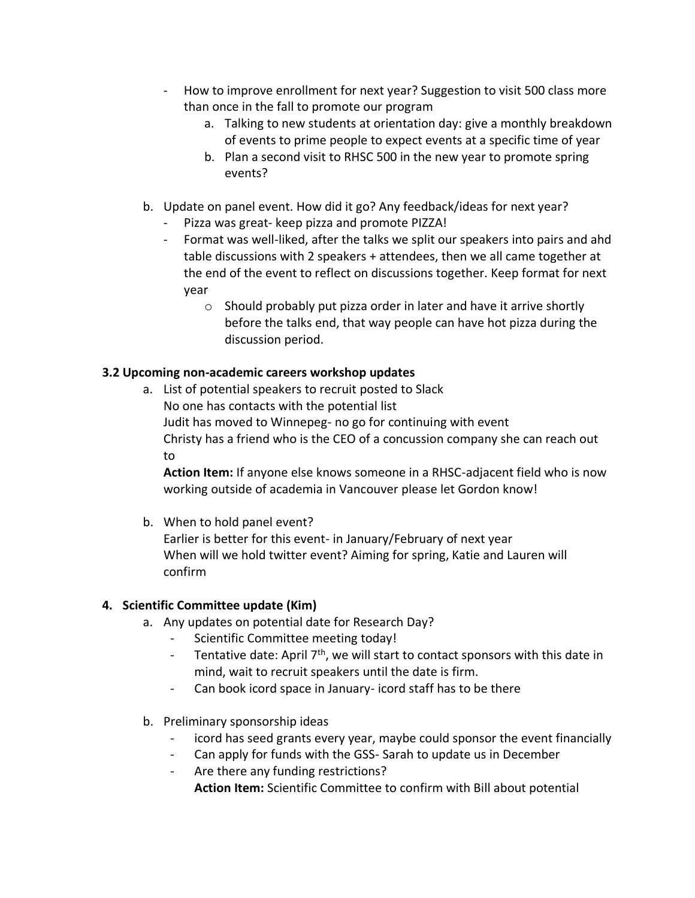- How to improve enrollment for next year? Suggestion to visit 500 class more than once in the fall to promote our program
	- a. Talking to new students at orientation day: give a monthly breakdown of events to prime people to expect events at a specific time of year
	- b. Plan a second visit to RHSC 500 in the new year to promote spring events?
- b. Update on panel event. How did it go? Any feedback/ideas for next year?
	- Pizza was great- keep pizza and promote PIZZA!
	- Format was well-liked, after the talks we split our speakers into pairs and ahd table discussions with 2 speakers + attendees, then we all came together at the end of the event to reflect on discussions together. Keep format for next year
		- o Should probably put pizza order in later and have it arrive shortly before the talks end, that way people can have hot pizza during the discussion period.

# **3.2 Upcoming non-academic careers workshop updates**

a. List of potential speakers to recruit posted to Slack No one has contacts with the potential list Judit has moved to Winnepeg- no go for continuing with event Christy has a friend who is the CEO of a concussion company she can reach out to

**Action Item:** If anyone else knows someone in a RHSC-adjacent field who is now working outside of academia in Vancouver please let Gordon know!

b. When to hold panel event?

Earlier is better for this event- in January/February of next year When will we hold twitter event? Aiming for spring, Katie and Lauren will confirm

# **4. Scientific Committee update (Kim)**

- a. Any updates on potential date for Research Day?
	- Scientific Committee meeting today!
	- Tentative date: April  $7<sup>th</sup>$ , we will start to contact sponsors with this date in mind, wait to recruit speakers until the date is firm.
	- Can book icord space in January- icord staff has to be there
- b. Preliminary sponsorship ideas
	- icord has seed grants every year, maybe could sponsor the event financially
	- Can apply for funds with the GSS- Sarah to update us in December
	- Are there any funding restrictions?
		- **Action Item:** Scientific Committee to confirm with Bill about potential